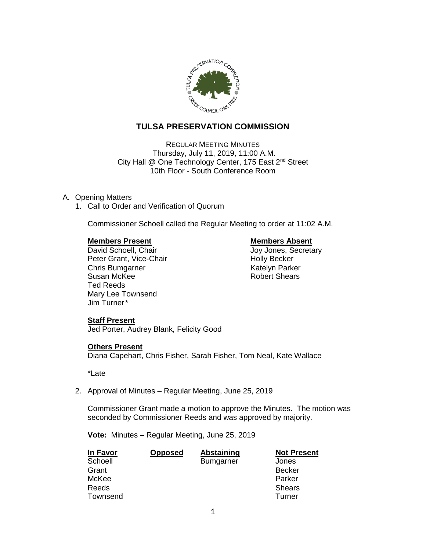

## **TULSA PRESERVATION COMMISSION**

REGULAR MEETING MINUTES Thursday, July 11, 2019, 11:00 A.M. City Hall @ One Technology Center, 175 East 2<sup>nd</sup> Street 10th Floor - South Conference Room

### A. Opening Matters

1. Call to Order and Verification of Quorum

Commissioner Schoell called the Regular Meeting to order at 11:02 A.M.

**Members Present Members Absent**<br>
David Schoell. Chair<br>
David Schoell. Chair Peter Grant, Vice-Chair Noter Holly Becker Chris Bumgarner **Katelyn Parker** Susan McKee **Robert Shears** Ted Reeds Mary Lee Townsend Jim Turner\*

Joy Jones, Secretary

#### **Staff Present**

Jed Porter, Audrey Blank, Felicity Good

#### **Others Present**

Diana Capehart, Chris Fisher, Sarah Fisher, Tom Neal, Kate Wallace

\*Late

2. Approval of Minutes – Regular Meeting, June 25, 2019

Commissioner Grant made a motion to approve the Minutes. The motion was seconded by Commissioner Reeds and was approved by majority.

**Vote:** Minutes – Regular Meeting, June 25, 2019

| <b>In Favor</b> | <b>Opposed</b> | <b>Abstaining</b> | <b>Not Present</b> |
|-----------------|----------------|-------------------|--------------------|
| Schoell         |                | <b>Bumgarner</b>  | Jones              |
| Grant           |                |                   | <b>Becker</b>      |
| McKee           |                |                   | Parker             |
| Reeds           |                |                   | <b>Shears</b>      |
| Townsend        |                |                   | Turner             |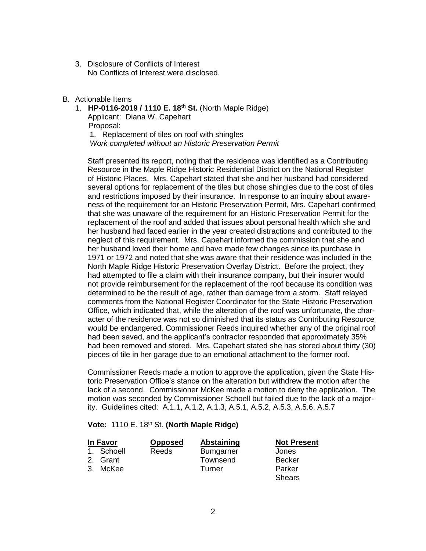3. Disclosure of Conflicts of Interest No Conflicts of Interest were disclosed.

#### B. Actionable Items

1. **HP-0116-2019 / 1110 E. 18th St.** (North Maple Ridge) Applicant: Diana W. Capehart Proposal: 1. Replacement of tiles on roof with shingles

*Work completed without an Historic Preservation Permit*

Staff presented its report, noting that the residence was identified as a Contributing Resource in the Maple Ridge Historic Residential District on the National Register of Historic Places. Mrs. Capehart stated that she and her husband had considered several options for replacement of the tiles but chose shingles due to the cost of tiles and restrictions imposed by their insurance. In response to an inquiry about awareness of the requirement for an Historic Preservation Permit, Mrs. Capehart confirmed that she was unaware of the requirement for an Historic Preservation Permit for the replacement of the roof and added that issues about personal health which she and her husband had faced earlier in the year created distractions and contributed to the neglect of this requirement. Mrs. Capehart informed the commission that she and her husband loved their home and have made few changes since its purchase in 1971 or 1972 and noted that she was aware that their residence was included in the North Maple Ridge Historic Preservation Overlay District. Before the project, they had attempted to file a claim with their insurance company, but their insurer would not provide reimbursement for the replacement of the roof because its condition was determined to be the result of age, rather than damage from a storm. Staff relayed comments from the National Register Coordinator for the State Historic Preservation Office, which indicated that, while the alteration of the roof was unfortunate, the character of the residence was not so diminished that its status as Contributing Resource would be endangered. Commissioner Reeds inquired whether any of the original roof had been saved, and the applicant's contractor responded that approximately 35% had been removed and stored. Mrs. Capehart stated she has stored about thirty (30) pieces of tile in her garage due to an emotional attachment to the former roof.

Commissioner Reeds made a motion to approve the application, given the State Historic Preservation Office's stance on the alteration but withdrew the motion after the lack of a second. Commissioner McKee made a motion to deny the application. The motion was seconded by Commissioner Schoell but failed due to the lack of a majority. Guidelines cited: A.1.1, A.1.2, A.1.3, A.5.1, A.5.2, A.5.3, A.5.6, A.5.7

#### **Vote:** 1110 E. 18th St. **(North Maple Ridge)**

| In Favor   | <b>Opposed</b> | Abstaining       | <b>Not Present</b> |
|------------|----------------|------------------|--------------------|
| 1. Schoell | Reeds          | <b>Bumgarner</b> | Jones              |
| 2. Grant   |                | Townsend         | <b>Becker</b>      |
| 3. McKee   |                | Turner           | Parker             |
|            |                |                  | <b>Shears</b>      |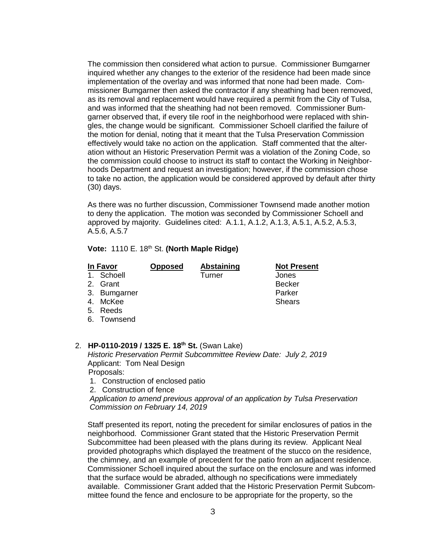The commission then considered what action to pursue. Commissioner Bumgarner inquired whether any changes to the exterior of the residence had been made since implementation of the overlay and was informed that none had been made. Commissioner Bumgarner then asked the contractor if any sheathing had been removed, as its removal and replacement would have required a permit from the City of Tulsa, and was informed that the sheathing had not been removed. Commissioner Bumgarner observed that, if every tile roof in the neighborhood were replaced with shingles, the change would be significant. Commissioner Schoell clarified the failure of the motion for denial, noting that it meant that the Tulsa Preservation Commission effectively would take no action on the application. Staff commented that the alteration without an Historic Preservation Permit was a violation of the Zoning Code, so the commission could choose to instruct its staff to contact the Working in Neighborhoods Department and request an investigation; however, if the commission chose to take no action, the application would be considered approved by default after thirty (30) days.

As there was no further discussion, Commissioner Townsend made another motion to deny the application. The motion was seconded by Commissioner Schoell and approved by majority. Guidelines cited: A.1.1, A.1.2, A.1.3, A.5.1, A.5.2, A.5.3, A.5.6, A.5.7

### **Vote: 1110 E. 18th St. (North Maple Ridge)**

| In Favor     | <b>Opposed</b> | <b>Abstaining</b> | <b>Not Present</b> |
|--------------|----------------|-------------------|--------------------|
| 1. Schoell   |                | Turner            | Jones              |
| 2. Grant     |                |                   | <b>Becker</b>      |
| 3. Bumgarner |                |                   | Parker             |
| 4. McKee     |                |                   | <b>Shears</b>      |
| 5. Reeds     |                |                   |                    |
| 6. Townsend  |                |                   |                    |

#### 2. **HP-0110-2019 / 1325 E. 18th St.** (Swan Lake) *Historic Preservation Permit Subcommittee Review Date: July 2, 2019* Applicant: Tom Neal Design Proposals:

1. Construction of enclosed patio

2. Construction of fence

*Application to amend previous approval of an application by Tulsa Preservation Commission on February 14, 2019*

Staff presented its report, noting the precedent for similar enclosures of patios in the neighborhood. Commissioner Grant stated that the Historic Preservation Permit Subcommittee had been pleased with the plans during its review. Applicant Neal provided photographs which displayed the treatment of the stucco on the residence, the chimney, and an example of precedent for the patio from an adjacent residence. Commissioner Schoell inquired about the surface on the enclosure and was informed that the surface would be abraded, although no specifications were immediately available. Commissioner Grant added that the Historic Preservation Permit Subcommittee found the fence and enclosure to be appropriate for the property, so the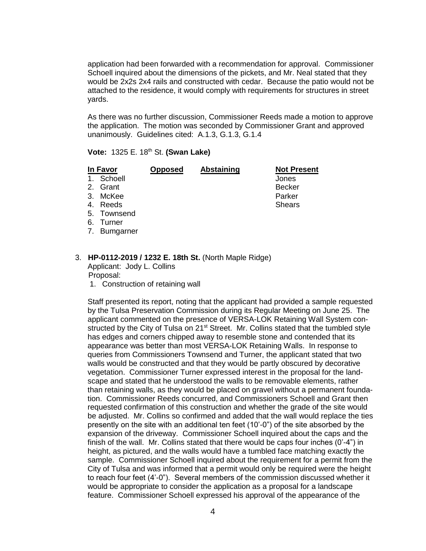application had been forwarded with a recommendation for approval. Commissioner Schoell inquired about the dimensions of the pickets, and Mr. Neal stated that they would be 2x2s 2x4 rails and constructed with cedar. Because the patio would not be attached to the residence, it would comply with requirements for structures in street yards.

As there was no further discussion, Commissioner Reeds made a motion to approve the application. The motion was seconded by Commissioner Grant and approved unanimously. Guidelines cited: A.1.3, G.1.3, G.1.4

**Vote:** 1325 E. 18th St. **(Swan Lake)**

|         | In Favor     | <b>Opposed</b> | <b>Abstaining</b> | <b>Not Present</b> |
|---------|--------------|----------------|-------------------|--------------------|
| $1_{-}$ | Schoell      |                |                   | Jones              |
|         | 2. Grant     |                |                   | <b>Becker</b>      |
|         | 3. McKee     |                |                   | Parker             |
|         | 4. Reeds     |                |                   | <b>Shears</b>      |
|         | 5. Townsend  |                |                   |                    |
|         | 6. Turner    |                |                   |                    |
|         | 7. Bumgarner |                |                   |                    |
|         |              |                |                   |                    |

#### 3. **HP-0112-2019 / 1232 E. 18th St.** (North Maple Ridge) Applicant: Jody L. Collins

Proposal:

1. Construction of retaining wall

Staff presented its report, noting that the applicant had provided a sample requested by the Tulsa Preservation Commission during its Regular Meeting on June 25. The applicant commented on the presence of VERSA-LOK Retaining Wall System constructed by the City of Tulsa on 21<sup>st</sup> Street. Mr. Collins stated that the tumbled style has edges and corners chipped away to resemble stone and contended that its appearance was better than most VERSA-LOK Retaining Walls. In response to queries from Commissioners Townsend and Turner, the applicant stated that two walls would be constructed and that they would be partly obscured by decorative vegetation. Commissioner Turner expressed interest in the proposal for the landscape and stated that he understood the walls to be removable elements, rather than retaining walls, as they would be placed on gravel without a permanent foundation. Commissioner Reeds concurred, and Commissioners Schoell and Grant then requested confirmation of this construction and whether the grade of the site would be adjusted. Mr. Collins so confirmed and added that the wall would replace the ties presently on the site with an additional ten feet (10'-0") of the site absorbed by the expansion of the driveway. Commissioner Schoell inquired about the caps and the finish of the wall. Mr. Collins stated that there would be caps four inches (0'-4") in height, as pictured, and the walls would have a tumbled face matching exactly the sample. Commissioner Schoell inquired about the requirement for a permit from the City of Tulsa and was informed that a permit would only be required were the height to reach four feet (4'-0"). Several members of the commission discussed whether it would be appropriate to consider the application as a proposal for a landscape feature. Commissioner Schoell expressed his approval of the appearance of the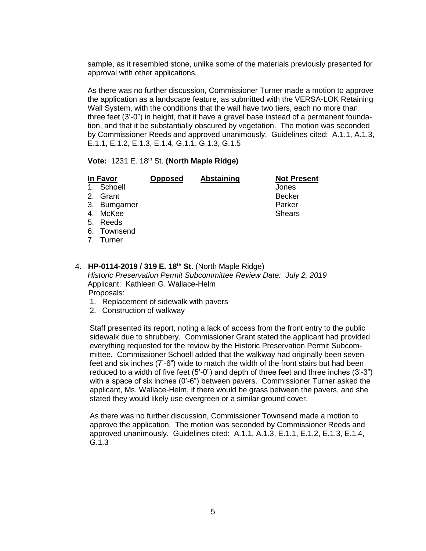sample, as it resembled stone, unlike some of the materials previously presented for approval with other applications.

As there was no further discussion, Commissioner Turner made a motion to approve the application as a landscape feature, as submitted with the VERSA-LOK Retaining Wall System, with the conditions that the wall have two tiers, each no more than three feet (3'-0") in height, that it have a gravel base instead of a permanent foundation, and that it be substantially obscured by vegetation. The motion was seconded by Commissioner Reeds and approved unanimously. Guidelines cited: A.1.1, A.1.3, E.1.1, E.1.2, E.1.3, E.1.4, G.1.1, G.1.3, G.1.5

### **Vote: 1231 E. 18th St. (North Maple Ridge)**

| In Favor     | <b>Opposed</b> | <b>Abstaining</b> | <b>Not Present</b> |
|--------------|----------------|-------------------|--------------------|
| 1. Schoell   |                |                   | Jones              |
| 2. Grant     |                |                   | <b>Becker</b>      |
| 3. Bumgarner |                |                   | Parker             |
| 4. McKee     |                |                   | <b>Shears</b>      |
| 5. Reeds     |                |                   |                    |
| 6. Townsend  |                |                   |                    |
| 7. Turner    |                |                   |                    |
|              |                |                   |                    |

#### 4. **HP-0114-2019 / 319 E. 18th St.** (North Maple Ridge) *Historic Preservation Permit Subcommittee Review Date: July 2, 2019* Applicant: Kathleen G. Wallace-Helm Proposals:

- 1. Replacement of sidewalk with pavers
- 2. Construction of walkway

Staff presented its report, noting a lack of access from the front entry to the public sidewalk due to shrubbery. Commissioner Grant stated the applicant had provided everything requested for the review by the Historic Preservation Permit Subcommittee. Commissioner Schoell added that the walkway had originally been seven feet and six inches (7'-6") wide to match the width of the front stairs but had been reduced to a width of five feet (5'-0") and depth of three feet and three inches (3'-3") with a space of six inches (0'-6") between pavers. Commissioner Turner asked the applicant, Ms. Wallace-Helm, if there would be grass between the pavers, and she stated they would likely use evergreen or a similar ground cover.

As there was no further discussion, Commissioner Townsend made a motion to approve the application. The motion was seconded by Commissioner Reeds and approved unanimously. Guidelines cited: A.1.1, A.1.3, E.1.1, E.1.2, E.1.3, E.1.4, G.1.3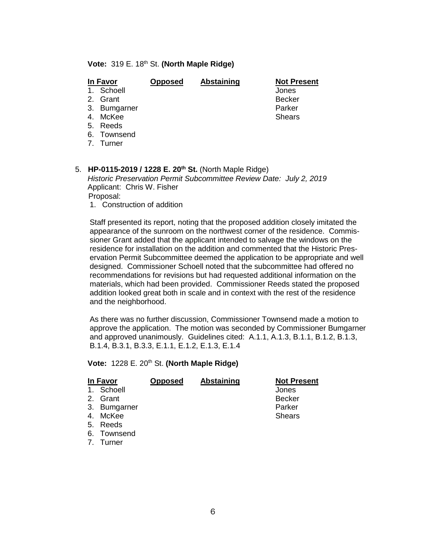#### **Vote: 319 E. 18th St. (North Maple Ridge)**

| In Favor       | <b>Opposed</b> | Abstaining | <b>Not Present</b> |
|----------------|----------------|------------|--------------------|
| Schoell<br>1   |                |            | Jones              |
| 2. Grant       |                |            | <b>Becker</b>      |
| 3. Bumgarner   |                |            | Parker             |
| 4. McKee       |                |            | <b>Shears</b>      |
| 5. Reeds       |                |            |                    |
| Townsend<br>6. |                |            |                    |
| 7. Turner      |                |            |                    |
|                |                |            |                    |

# 5. **HP-0115-2019 / 1228 E. 20th St.** (North Maple Ridge)

*Historic Preservation Permit Subcommittee Review Date: July 2, 2019* Applicant: Chris W. Fisher Proposal:

1. Construction of addition

Staff presented its report, noting that the proposed addition closely imitated the appearance of the sunroom on the northwest corner of the residence. Commissioner Grant added that the applicant intended to salvage the windows on the residence for installation on the addition and commented that the Historic Preservation Permit Subcommittee deemed the application to be appropriate and well designed. Commissioner Schoell noted that the subcommittee had offered no recommendations for revisions but had requested additional information on the materials, which had been provided. Commissioner Reeds stated the proposed addition looked great both in scale and in context with the rest of the residence and the neighborhood.

As there was no further discussion, Commissioner Townsend made a motion to approve the application. The motion was seconded by Commissioner Bumgarner and approved unanimously. Guidelines cited: A.1.1, A.1.3, B.1.1, B.1.2, B.1.3, B.1.4, B.3.1, B.3.3, E.1.1, E.1.2, E.1.3, E.1.4

#### **Vote: 1228 E. 20<sup>th</sup> St. (North Maple Ridge)**

| In Favor       |              | <b>Opposed</b> | <b>Abstaining</b> | <b>Not Present</b> |
|----------------|--------------|----------------|-------------------|--------------------|
| $\mathbf{1}$ . | Schoell      |                |                   | Jones              |
|                | 2. Grant     |                |                   | <b>Becker</b>      |
|                | 3. Bumgarner |                |                   | Parker             |
| 4.             | McKee        |                |                   | <b>Shears</b>      |
|                | 5. Reeds     |                |                   |                    |
|                | 6. Townsend  |                |                   |                    |

7. Turner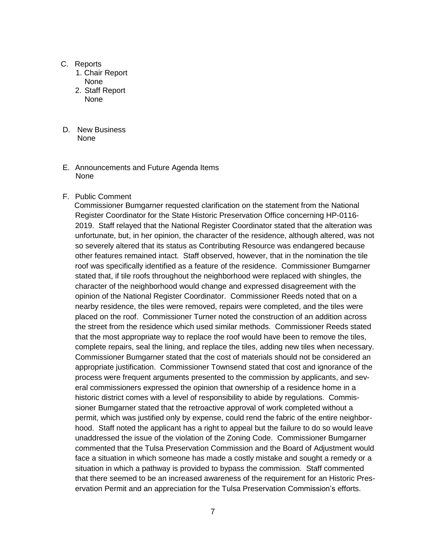#### C. Reports

- 1. Chair Report None
- 2. Staff Report None

#### D. New Business None

E. Announcements and Future Agenda Items None

### F. Public Comment

 Commissioner Bumgarner requested clarification on the statement from the National Register Coordinator for the State Historic Preservation Office concerning HP-0116- 2019. Staff relayed that the National Register Coordinator stated that the alteration was unfortunate, but, in her opinion, the character of the residence, although altered, was not so severely altered that its status as Contributing Resource was endangered because other features remained intact. Staff observed, however, that in the nomination the tile roof was specifically identified as a feature of the residence. Commissioner Bumgarner stated that, if tile roofs throughout the neighborhood were replaced with shingles, the character of the neighborhood would change and expressed disagreement with the opinion of the National Register Coordinator. Commissioner Reeds noted that on a nearby residence, the tiles were removed, repairs were completed, and the tiles were placed on the roof. Commissioner Turner noted the construction of an addition across the street from the residence which used similar methods. Commissioner Reeds stated that the most appropriate way to replace the roof would have been to remove the tiles, complete repairs, seal the lining, and replace the tiles, adding new tiles when necessary. Commissioner Bumgarner stated that the cost of materials should not be considered an appropriate justification. Commissioner Townsend stated that cost and ignorance of the process were frequent arguments presented to the commission by applicants, and several commissioners expressed the opinion that ownership of a residence home in a historic district comes with a level of responsibility to abide by regulations. Commissioner Bumgarner stated that the retroactive approval of work completed without a permit, which was justified only by expense, could rend the fabric of the entire neighborhood. Staff noted the applicant has a right to appeal but the failure to do so would leave unaddressed the issue of the violation of the Zoning Code. Commissioner Bumgarner commented that the Tulsa Preservation Commission and the Board of Adjustment would face a situation in which someone has made a costly mistake and sought a remedy or a situation in which a pathway is provided to bypass the commission. Staff commented that there seemed to be an increased awareness of the requirement for an Historic Preservation Permit and an appreciation for the Tulsa Preservation Commission's efforts.